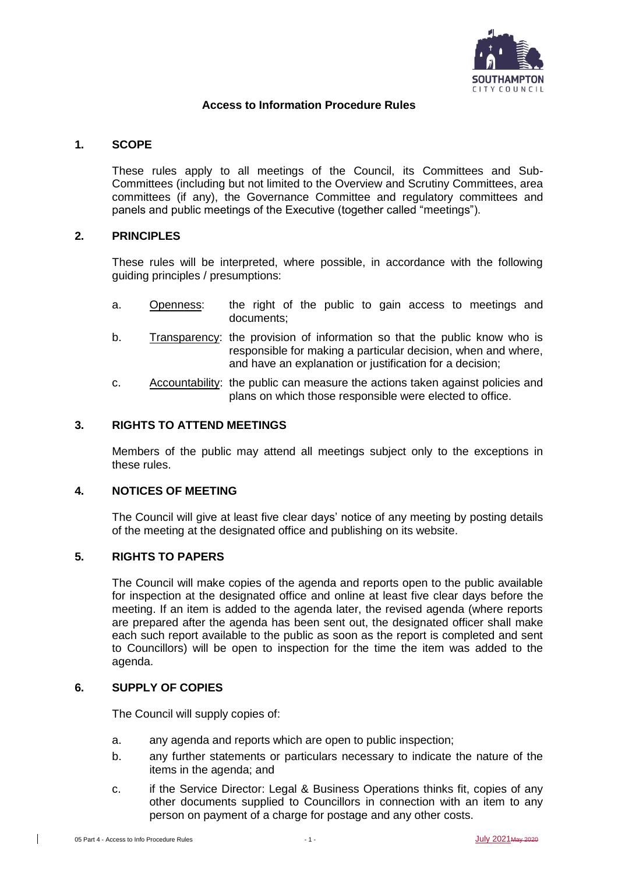

## **Access to Information Procedure Rules**

## **1. SCOPE**

These rules apply to all meetings of the Council, its Committees and Sub-Committees (including but not limited to the Overview and Scrutiny Committees, area committees (if any), the Governance Committee and regulatory committees and panels and public meetings of the Executive (together called "meetings").

#### **2. PRINCIPLES**

These rules will be interpreted, where possible, in accordance with the following guiding principles / presumptions:

- a. Openness: the right of the public to gain access to meetings and documents;
- b. Transparency: the provision of information so that the public know who is responsible for making a particular decision, when and where, and have an explanation or justification for a decision;
- c. Accountability: the public can measure the actions taken against policies and plans on which those responsible were elected to office.

## **3. RIGHTS TO ATTEND MEETINGS**

Members of the public may attend all meetings subject only to the exceptions in these rules.

#### **4. NOTICES OF MEETING**

The Council will give at least five clear days' notice of any meeting by posting details of the meeting at the designated office and publishing on its website.

#### **5. RIGHTS TO PAPERS**

The Council will make copies of the agenda and reports open to the public available for inspection at the designated office and online at least five clear days before the meeting. If an item is added to the agenda later, the revised agenda (where reports are prepared after the agenda has been sent out, the designated officer shall make each such report available to the public as soon as the report is completed and sent to Councillors) will be open to inspection for the time the item was added to the agenda.

## **6. SUPPLY OF COPIES**

The Council will supply copies of:

- a. any agenda and reports which are open to public inspection;
- b. any further statements or particulars necessary to indicate the nature of the items in the agenda; and
- c. if the Service Director: Legal & Business Operations thinks fit, copies of any other documents supplied to Councillors in connection with an item to any person on payment of a charge for postage and any other costs.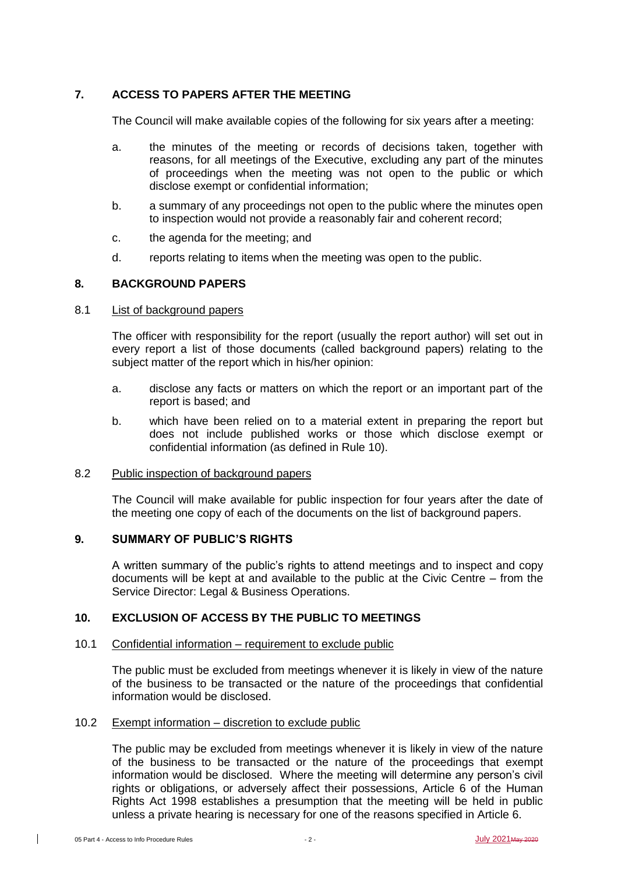# **7. ACCESS TO PAPERS AFTER THE MEETING**

The Council will make available copies of the following for six years after a meeting:

- a. the minutes of the meeting or records of decisions taken, together with reasons, for all meetings of the Executive, excluding any part of the minutes of proceedings when the meeting was not open to the public or which disclose exempt or confidential information;
- b. a summary of any proceedings not open to the public where the minutes open to inspection would not provide a reasonably fair and coherent record;
- c. the agenda for the meeting; and
- d. reports relating to items when the meeting was open to the public.

## **8. BACKGROUND PAPERS**

#### 8.1 List of background papers

The officer with responsibility for the report (usually the report author) will set out in every report a list of those documents (called background papers) relating to the subject matter of the report which in his/her opinion:

- a. disclose any facts or matters on which the report or an important part of the report is based; and
- b. which have been relied on to a material extent in preparing the report but does not include published works or those which disclose exempt or confidential information (as defined in Rule 10).

## 8.2 Public inspection of background papers

The Council will make available for public inspection for four years after the date of the meeting one copy of each of the documents on the list of background papers.

## **9. SUMMARY OF PUBLIC'S RIGHTS**

A written summary of the public's rights to attend meetings and to inspect and copy documents will be kept at and available to the public at the Civic Centre – from the Service Director: Legal & Business Operations.

## **10. EXCLUSION OF ACCESS BY THE PUBLIC TO MEETINGS**

#### 10.1 Confidential information – requirement to exclude public

The public must be excluded from meetings whenever it is likely in view of the nature of the business to be transacted or the nature of the proceedings that confidential information would be disclosed.

# 10.2 Exempt information – discretion to exclude public

The public may be excluded from meetings whenever it is likely in view of the nature of the business to be transacted or the nature of the proceedings that exempt information would be disclosed. Where the meeting will determine any person's civil rights or obligations, or adversely affect their possessions, Article 6 of the Human Rights Act 1998 establishes a presumption that the meeting will be held in public unless a private hearing is necessary for one of the reasons specified in Article 6.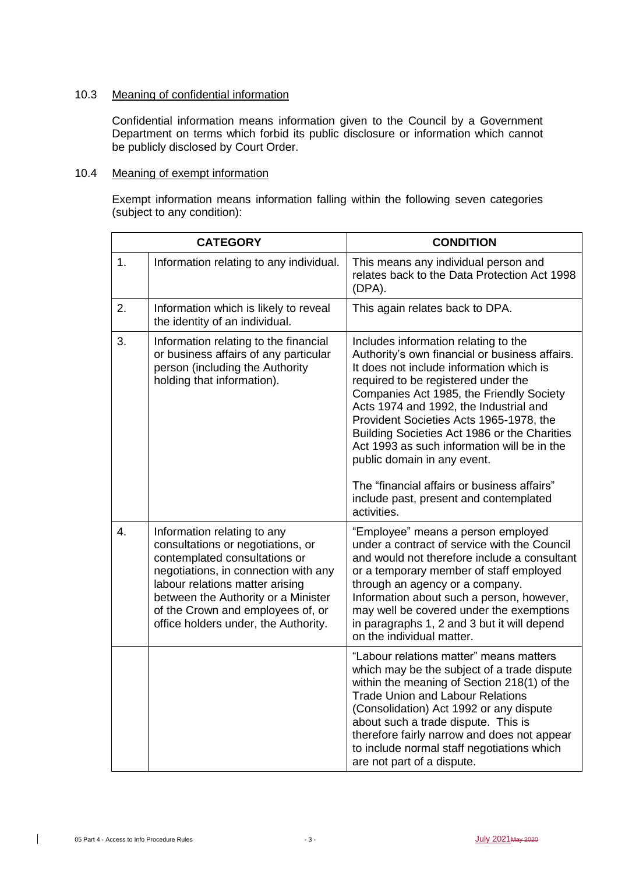## 10.3 Meaning of confidential information

Confidential information means information given to the Council by a Government Department on terms which forbid its public disclosure or information which cannot be publicly disclosed by Court Order.

## 10.4 Meaning of exempt information

Exempt information means information falling within the following seven categories (subject to any condition):

| <b>CATEGORY</b> |                                                                                                                                                                                                                                                                                                  | <b>CONDITION</b>                                                                                                                                                                                                                                                                                                                                                                                                                                                                                                                                 |
|-----------------|--------------------------------------------------------------------------------------------------------------------------------------------------------------------------------------------------------------------------------------------------------------------------------------------------|--------------------------------------------------------------------------------------------------------------------------------------------------------------------------------------------------------------------------------------------------------------------------------------------------------------------------------------------------------------------------------------------------------------------------------------------------------------------------------------------------------------------------------------------------|
| 1.              | Information relating to any individual.                                                                                                                                                                                                                                                          | This means any individual person and<br>relates back to the Data Protection Act 1998<br>(DPA).                                                                                                                                                                                                                                                                                                                                                                                                                                                   |
| 2.              | Information which is likely to reveal<br>the identity of an individual.                                                                                                                                                                                                                          | This again relates back to DPA.                                                                                                                                                                                                                                                                                                                                                                                                                                                                                                                  |
| 3.              | Information relating to the financial<br>or business affairs of any particular<br>person (including the Authority<br>holding that information).                                                                                                                                                  | Includes information relating to the<br>Authority's own financial or business affairs.<br>It does not include information which is<br>required to be registered under the<br>Companies Act 1985, the Friendly Society<br>Acts 1974 and 1992, the Industrial and<br>Provident Societies Acts 1965-1978, the<br>Building Societies Act 1986 or the Charities<br>Act 1993 as such information will be in the<br>public domain in any event.<br>The "financial affairs or business affairs"<br>include past, present and contemplated<br>activities. |
| 4.              | Information relating to any<br>consultations or negotiations, or<br>contemplated consultations or<br>negotiations, in connection with any<br>labour relations matter arising<br>between the Authority or a Minister<br>of the Crown and employees of, or<br>office holders under, the Authority. | "Employee" means a person employed<br>under a contract of service with the Council<br>and would not therefore include a consultant<br>or a temporary member of staff employed<br>through an agency or a company.<br>Information about such a person, however,<br>may well be covered under the exemptions<br>in paragraphs 1, 2 and 3 but it will depend<br>on the individual matter.                                                                                                                                                            |
|                 |                                                                                                                                                                                                                                                                                                  | "Labour relations matter" means matters<br>which may be the subject of a trade dispute<br>within the meaning of Section 218(1) of the<br><b>Trade Union and Labour Relations</b><br>(Consolidation) Act 1992 or any dispute<br>about such a trade dispute. This is<br>therefore fairly narrow and does not appear<br>to include normal staff negotiations which<br>are not part of a dispute.                                                                                                                                                    |

 $\overline{\phantom{a}}$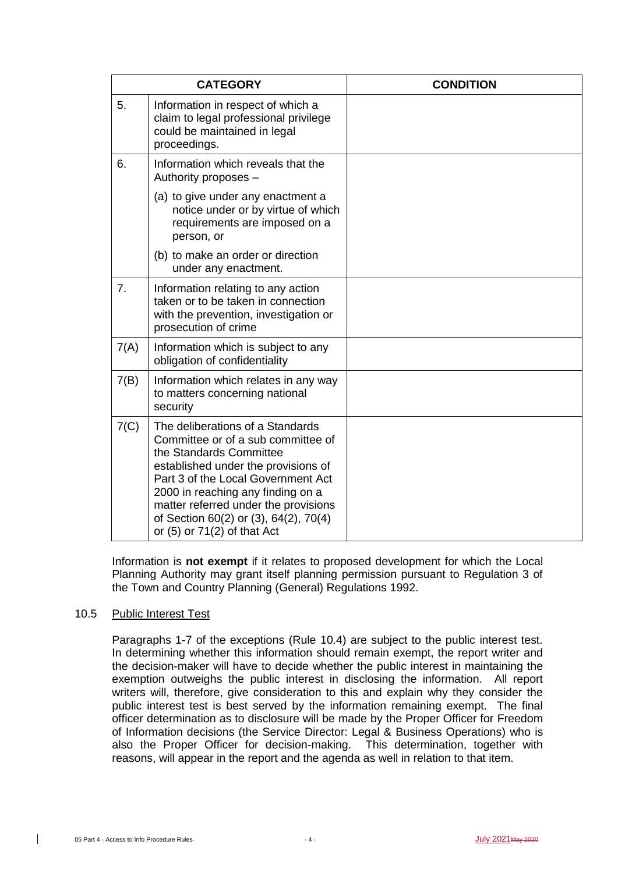| <b>CATEGORY</b> |                                                                                                                                                                                                                                                                                                                                         | <b>CONDITION</b> |
|-----------------|-----------------------------------------------------------------------------------------------------------------------------------------------------------------------------------------------------------------------------------------------------------------------------------------------------------------------------------------|------------------|
| 5.              | Information in respect of which a<br>claim to legal professional privilege<br>could be maintained in legal<br>proceedings.                                                                                                                                                                                                              |                  |
| 6.              | Information which reveals that the<br>Authority proposes -                                                                                                                                                                                                                                                                              |                  |
|                 | (a) to give under any enactment a<br>notice under or by virtue of which<br>requirements are imposed on a<br>person, or                                                                                                                                                                                                                  |                  |
|                 | (b) to make an order or direction<br>under any enactment.                                                                                                                                                                                                                                                                               |                  |
| 7.              | Information relating to any action<br>taken or to be taken in connection<br>with the prevention, investigation or<br>prosecution of crime                                                                                                                                                                                               |                  |
| 7(A)            | Information which is subject to any<br>obligation of confidentiality                                                                                                                                                                                                                                                                    |                  |
| 7(B)            | Information which relates in any way<br>to matters concerning national<br>security                                                                                                                                                                                                                                                      |                  |
| 7(C)            | The deliberations of a Standards<br>Committee or of a sub committee of<br>the Standards Committee<br>established under the provisions of<br>Part 3 of the Local Government Act<br>2000 in reaching any finding on a<br>matter referred under the provisions<br>of Section 60(2) or (3), 64(2), 70(4)<br>or $(5)$ or $71(2)$ of that Act |                  |

Information is **not exempt** if it relates to proposed development for which the Local Planning Authority may grant itself planning permission pursuant to Regulation 3 of the Town and Country Planning (General) Regulations 1992.

#### 10.5 Public Interest Test

Paragraphs 1-7 of the exceptions (Rule 10.4) are subject to the public interest test. In determining whether this information should remain exempt, the report writer and the decision-maker will have to decide whether the public interest in maintaining the exemption outweighs the public interest in disclosing the information. All report writers will, therefore, give consideration to this and explain why they consider the public interest test is best served by the information remaining exempt. The final officer determination as to disclosure will be made by the Proper Officer for Freedom of Information decisions (the Service Director: Legal & Business Operations) who is also the Proper Officer for decision-making. This determination, together with reasons, will appear in the report and the agenda as well in relation to that item.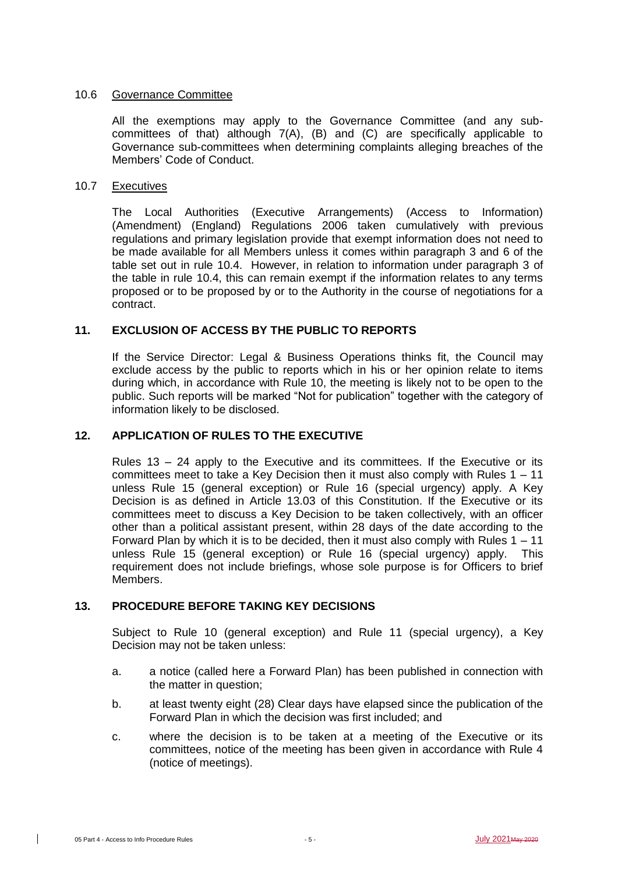## 10.6 Governance Committee

All the exemptions may apply to the Governance Committee (and any subcommittees of that) although 7(A), (B) and (C) are specifically applicable to Governance sub-committees when determining complaints alleging breaches of the Members' Code of Conduct.

## 10.7 Executives

The Local Authorities (Executive Arrangements) (Access to Information) (Amendment) (England) Regulations 2006 taken cumulatively with previous regulations and primary legislation provide that exempt information does not need to be made available for all Members unless it comes within paragraph 3 and 6 of the table set out in rule 10.4. However, in relation to information under paragraph 3 of the table in rule 10.4, this can remain exempt if the information relates to any terms proposed or to be proposed by or to the Authority in the course of negotiations for a contract.

## **11. EXCLUSION OF ACCESS BY THE PUBLIC TO REPORTS**

If the Service Director: Legal & Business Operations thinks fit, the Council may exclude access by the public to reports which in his or her opinion relate to items during which, in accordance with Rule 10, the meeting is likely not to be open to the public. Such reports will be marked "Not for publication" together with the category of information likely to be disclosed.

## **12. APPLICATION OF RULES TO THE EXECUTIVE**

Rules  $13 - 24$  apply to the Executive and its committees. If the Executive or its committees meet to take a Key Decision then it must also comply with Rules 1 – 11 unless Rule 15 (general exception) or Rule 16 (special urgency) apply. A Key Decision is as defined in Article 13.03 of this Constitution. If the Executive or its committees meet to discuss a Key Decision to be taken collectively, with an officer other than a political assistant present, within 28 days of the date according to the Forward Plan by which it is to be decided, then it must also comply with Rules 1 – 11 unless Rule 15 (general exception) or Rule 16 (special urgency) apply. This requirement does not include briefings, whose sole purpose is for Officers to brief Members.

## **13. PROCEDURE BEFORE TAKING KEY DECISIONS**

Subject to Rule 10 (general exception) and Rule 11 (special urgency), a Key Decision may not be taken unless:

- a. a notice (called here a Forward Plan) has been published in connection with the matter in question;
- b. at least twenty eight (28) Clear days have elapsed since the publication of the Forward Plan in which the decision was first included; and
- c. where the decision is to be taken at a meeting of the Executive or its committees, notice of the meeting has been given in accordance with Rule 4 (notice of meetings).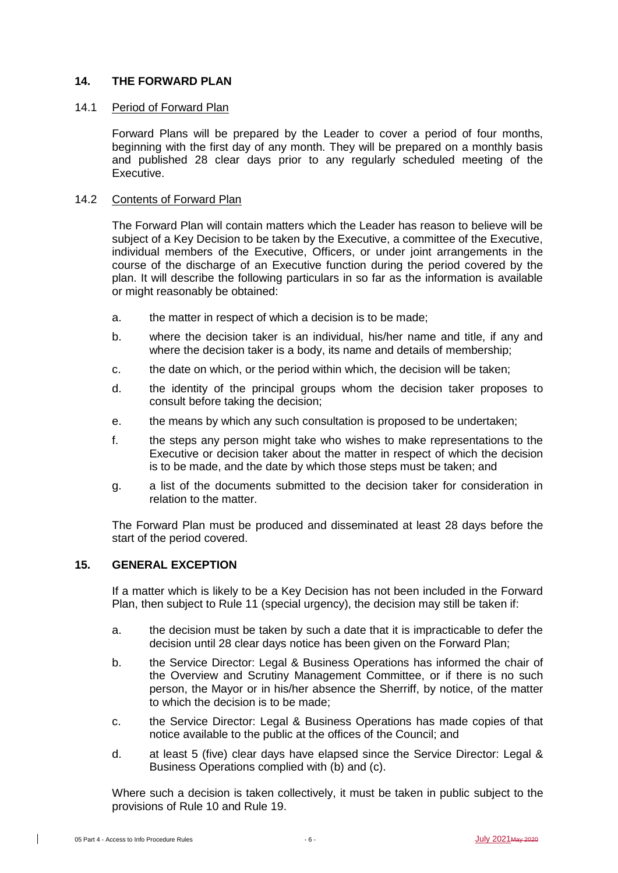## **14. THE FORWARD PLAN**

#### 14.1 Period of Forward Plan

Forward Plans will be prepared by the Leader to cover a period of four months, beginning with the first day of any month. They will be prepared on a monthly basis and published 28 clear days prior to any regularly scheduled meeting of the Executive.

## 14.2 Contents of Forward Plan

The Forward Plan will contain matters which the Leader has reason to believe will be subject of a Key Decision to be taken by the Executive, a committee of the Executive, individual members of the Executive, Officers, or under joint arrangements in the course of the discharge of an Executive function during the period covered by the plan. It will describe the following particulars in so far as the information is available or might reasonably be obtained:

- a. the matter in respect of which a decision is to be made;
- b. where the decision taker is an individual, his/her name and title, if any and where the decision taker is a body, its name and details of membership;
- c. the date on which, or the period within which, the decision will be taken;
- d. the identity of the principal groups whom the decision taker proposes to consult before taking the decision;
- e. the means by which any such consultation is proposed to be undertaken;
- f. the steps any person might take who wishes to make representations to the Executive or decision taker about the matter in respect of which the decision is to be made, and the date by which those steps must be taken; and
- g. a list of the documents submitted to the decision taker for consideration in relation to the matter.

The Forward Plan must be produced and disseminated at least 28 days before the start of the period covered.

## **15. GENERAL EXCEPTION**

If a matter which is likely to be a Key Decision has not been included in the Forward Plan, then subject to Rule 11 (special urgency), the decision may still be taken if:

- a. the decision must be taken by such a date that it is impracticable to defer the decision until 28 clear days notice has been given on the Forward Plan;
- b. the Service Director: Legal & Business Operations has informed the chair of the Overview and Scrutiny Management Committee, or if there is no such person, the Mayor or in his/her absence the Sherriff, by notice, of the matter to which the decision is to be made;
- c. the Service Director: Legal & Business Operations has made copies of that notice available to the public at the offices of the Council; and
- d. at least 5 (five) clear days have elapsed since the Service Director: Legal & Business Operations complied with (b) and (c).

Where such a decision is taken collectively, it must be taken in public subject to the provisions of Rule 10 and Rule 19.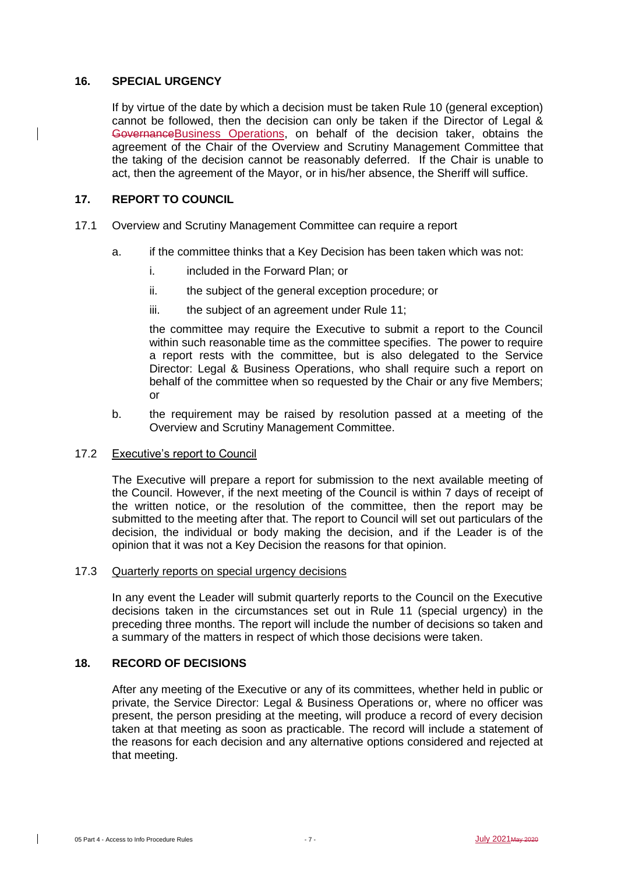#### **16. SPECIAL URGENCY**

If by virtue of the date by which a decision must be taken Rule 10 (general exception) cannot be followed, then the decision can only be taken if the Director of Legal & Governance Business Operations, on behalf of the decision taker, obtains the agreement of the Chair of the Overview and Scrutiny Management Committee that the taking of the decision cannot be reasonably deferred. If the Chair is unable to act, then the agreement of the Mayor, or in his/her absence, the Sheriff will suffice.

## **17. REPORT TO COUNCIL**

- 17.1 Overview and Scrutiny Management Committee can require a report
	- a. if the committee thinks that a Key Decision has been taken which was not:
		- i. **included in the Forward Plan**; or
		- ii. the subject of the general exception procedure; or
		- iii. the subject of an agreement under Rule 11;

the committee may require the Executive to submit a report to the Council within such reasonable time as the committee specifies. The power to require a report rests with the committee, but is also delegated to the Service Director: Legal & Business Operations, who shall require such a report on behalf of the committee when so requested by the Chair or any five Members; or

b. the requirement may be raised by resolution passed at a meeting of the Overview and Scrutiny Management Committee.

#### 17.2 Executive's report to Council

The Executive will prepare a report for submission to the next available meeting of the Council. However, if the next meeting of the Council is within 7 days of receipt of the written notice, or the resolution of the committee, then the report may be submitted to the meeting after that. The report to Council will set out particulars of the decision, the individual or body making the decision, and if the Leader is of the opinion that it was not a Key Decision the reasons for that opinion.

#### 17.3 Quarterly reports on special urgency decisions

In any event the Leader will submit quarterly reports to the Council on the Executive decisions taken in the circumstances set out in Rule 11 (special urgency) in the preceding three months. The report will include the number of decisions so taken and a summary of the matters in respect of which those decisions were taken.

# **18. RECORD OF DECISIONS**

After any meeting of the Executive or any of its committees, whether held in public or private, the Service Director: Legal & Business Operations or, where no officer was present, the person presiding at the meeting, will produce a record of every decision taken at that meeting as soon as practicable. The record will include a statement of the reasons for each decision and any alternative options considered and rejected at that meeting.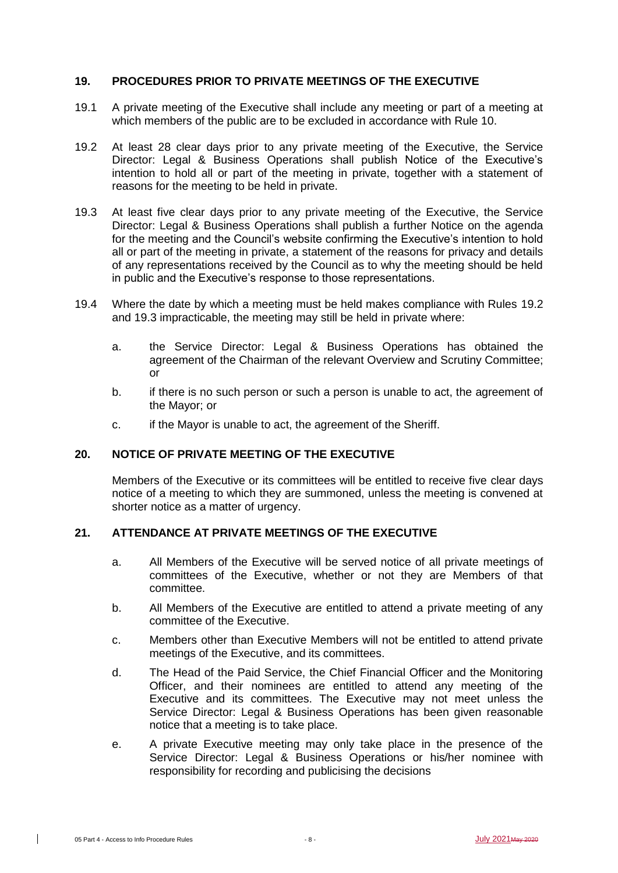#### **19. PROCEDURES PRIOR TO PRIVATE MEETINGS OF THE EXECUTIVE**

- 19.1 A private meeting of the Executive shall include any meeting or part of a meeting at which members of the public are to be excluded in accordance with Rule 10.
- 19.2 At least 28 clear days prior to any private meeting of the Executive, the Service Director: Legal & Business Operations shall publish Notice of the Executive's intention to hold all or part of the meeting in private, together with a statement of reasons for the meeting to be held in private.
- 19.3 At least five clear days prior to any private meeting of the Executive, the Service Director: Legal & Business Operations shall publish a further Notice on the agenda for the meeting and the Council's website confirming the Executive's intention to hold all or part of the meeting in private, a statement of the reasons for privacy and details of any representations received by the Council as to why the meeting should be held in public and the Executive's response to those representations.
- 19.4 Where the date by which a meeting must be held makes compliance with Rules 19.2 and 19.3 impracticable, the meeting may still be held in private where:
	- a. the Service Director: Legal & Business Operations has obtained the agreement of the Chairman of the relevant Overview and Scrutiny Committee; or
	- b. if there is no such person or such a person is unable to act, the agreement of the Mayor; or
	- c. if the Mayor is unable to act, the agreement of the Sheriff.

# **20. NOTICE OF PRIVATE MEETING OF THE EXECUTIVE**

Members of the Executive or its committees will be entitled to receive five clear days notice of a meeting to which they are summoned, unless the meeting is convened at shorter notice as a matter of urgency.

# **21. ATTENDANCE AT PRIVATE MEETINGS OF THE EXECUTIVE**

- a. All Members of the Executive will be served notice of all private meetings of committees of the Executive, whether or not they are Members of that committee.
- b. All Members of the Executive are entitled to attend a private meeting of any committee of the Executive.
- c. Members other than Executive Members will not be entitled to attend private meetings of the Executive, and its committees.
- d. The Head of the Paid Service, the Chief Financial Officer and the Monitoring Officer, and their nominees are entitled to attend any meeting of the Executive and its committees. The Executive may not meet unless the Service Director: Legal & Business Operations has been given reasonable notice that a meeting is to take place.
- e. A private Executive meeting may only take place in the presence of the Service Director: Legal & Business Operations or his/her nominee with responsibility for recording and publicising the decisions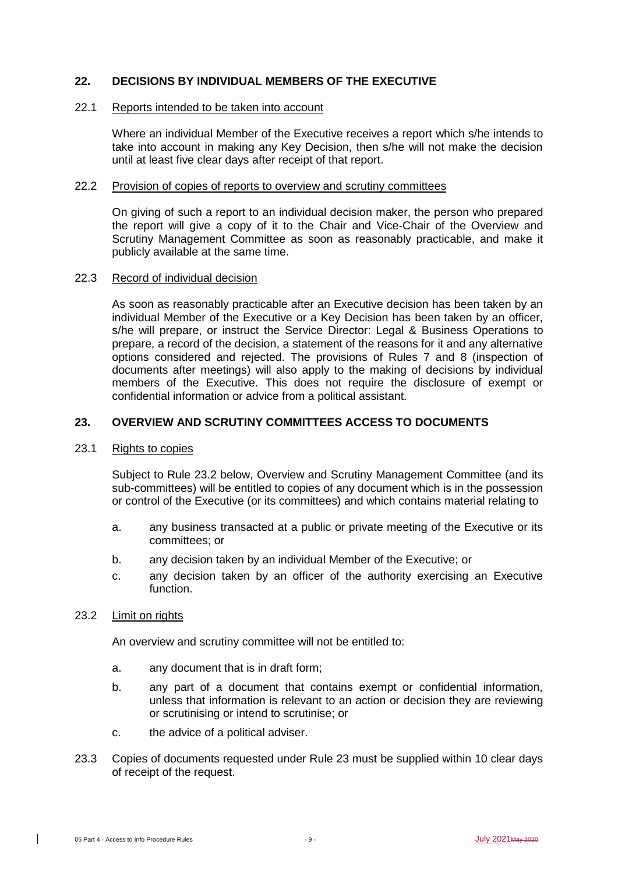## **22. DECISIONS BY INDIVIDUAL MEMBERS OF THE EXECUTIVE**

#### 22.1 Reports intended to be taken into account

Where an individual Member of the Executive receives a report which s/he intends to take into account in making any Key Decision, then s/he will not make the decision until at least five clear days after receipt of that report.

#### 22.2 Provision of copies of reports to overview and scrutiny committees

On giving of such a report to an individual decision maker, the person who prepared the report will give a copy of it to the Chair and Vice-Chair of the Overview and Scrutiny Management Committee as soon as reasonably practicable, and make it publicly available at the same time.

#### 22.3 Record of individual decision

As soon as reasonably practicable after an Executive decision has been taken by an individual Member of the Executive or a Key Decision has been taken by an officer, s/he will prepare, or instruct the Service Director: Legal & Business Operations to prepare, a record of the decision, a statement of the reasons for it and any alternative options considered and rejected. The provisions of Rules 7 and 8 (inspection of documents after meetings) will also apply to the making of decisions by individual members of the Executive. This does not require the disclosure of exempt or confidential information or advice from a political assistant.

#### **23. OVERVIEW AND SCRUTINY COMMITTEES ACCESS TO DOCUMENTS**

#### 23.1 Rights to copies

Subject to Rule 23.2 below, Overview and Scrutiny Management Committee (and its sub-committees) will be entitled to copies of any document which is in the possession or control of the Executive (or its committees) and which contains material relating to

- a. any business transacted at a public or private meeting of the Executive or its committees; or
- b. any decision taken by an individual Member of the Executive; or
- c. any decision taken by an officer of the authority exercising an Executive function.

#### 23.2 Limit on rights

An overview and scrutiny committee will not be entitled to:

- a. any document that is in draft form;
- b. any part of a document that contains exempt or confidential information, unless that information is relevant to an action or decision they are reviewing or scrutinising or intend to scrutinise; or
- c. the advice of a political adviser.
- 23.3 Copies of documents requested under Rule 23 must be supplied within 10 clear days of receipt of the request.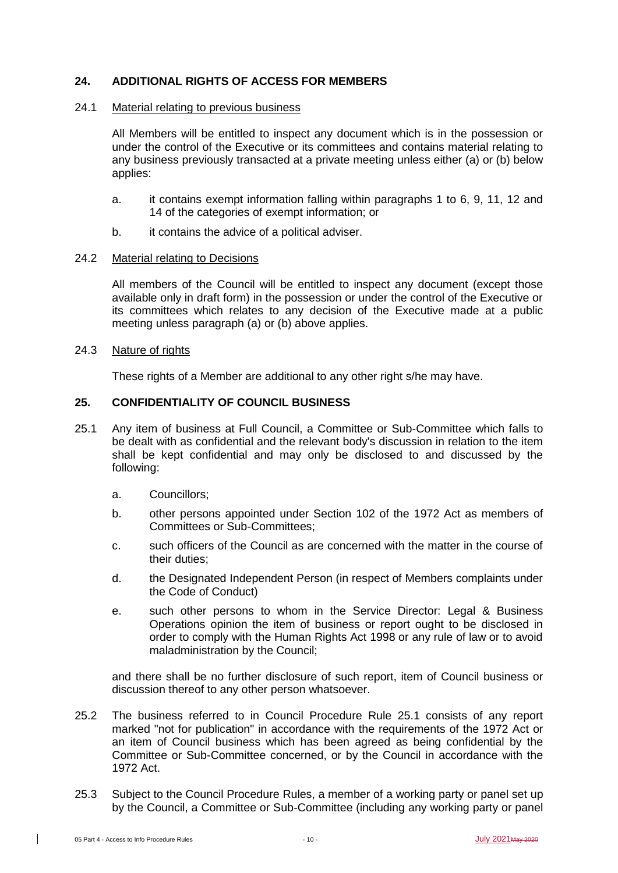## **24. ADDITIONAL RIGHTS OF ACCESS FOR MEMBERS**

#### 24.1 Material relating to previous business

All Members will be entitled to inspect any document which is in the possession or under the control of the Executive or its committees and contains material relating to any business previously transacted at a private meeting unless either (a) or (b) below applies:

- a. it contains exempt information falling within paragraphs 1 to 6, 9, 11, 12 and 14 of the categories of exempt information; or
- b. it contains the advice of a political adviser.

#### 24.2 Material relating to Decisions

All members of the Council will be entitled to inspect any document (except those available only in draft form) in the possession or under the control of the Executive or its committees which relates to any decision of the Executive made at a public meeting unless paragraph (a) or (b) above applies.

## 24.3 Nature of rights

These rights of a Member are additional to any other right s/he may have.

# **25. CONFIDENTIALITY OF COUNCIL BUSINESS**

- 25.1 Any item of business at Full Council, a Committee or Sub-Committee which falls to be dealt with as confidential and the relevant body's discussion in relation to the item shall be kept confidential and may only be disclosed to and discussed by the following:
	- a. Councillors;
	- b. other persons appointed under Section 102 of the 1972 Act as members of Committees or Sub-Committees;
	- c. such officers of the Council as are concerned with the matter in the course of their duties;
	- d. the Designated Independent Person (in respect of Members complaints under the Code of Conduct)
	- e. such other persons to whom in the Service Director: Legal & Business Operations opinion the item of business or report ought to be disclosed in order to comply with the Human Rights Act 1998 or any rule of law or to avoid maladministration by the Council;

and there shall be no further disclosure of such report, item of Council business or discussion thereof to any other person whatsoever.

- 25.2 The business referred to in Council Procedure Rule 25.1 consists of any report marked "not for publication" in accordance with the requirements of the 1972 Act or an item of Council business which has been agreed as being confidential by the Committee or Sub-Committee concerned, or by the Council in accordance with the 1972 Act.
- 25.3 Subject to the Council Procedure Rules, a member of a working party or panel set up by the Council, a Committee or Sub-Committee (including any working party or panel